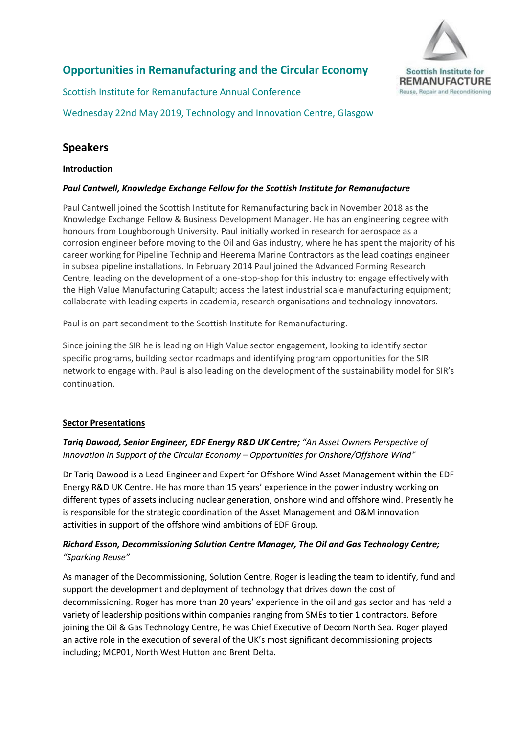

# **Opportunities in Remanufacturing and the Circular Economy**

Scottish Institute for Remanufacture Annual Conference

Wednesday 22nd May 2019, Technology and Innovation Centre, Glasgow

# **Speakers**

# **Introduction**

## *Paul Cantwell, Knowledge Exchange Fellow for the Scottish Institute for Remanufacture*

Paul Cantwell joined the Scottish Institute for Remanufacturing back in November 2018 as the Knowledge Exchange Fellow & Business Development Manager. He has an engineering degree with honours from Loughborough University. Paul initially worked in research for aerospace as a corrosion engineer before moving to the Oil and Gas industry, where he has spent the majority of his career working for Pipeline Technip and Heerema Marine Contractors as the lead coatings engineer in subsea pipeline installations. In February 2014 Paul joined the Advanced Forming Research Centre, leading on the development of a one-stop-shop for this industry to: engage effectively with the High Value Manufacturing Catapult; access the latest industrial scale manufacturing equipment; collaborate with leading experts in academia, research organisations and technology innovators.

Paul is on part secondment to the Scottish Institute for Remanufacturing.

Since joining the SIR he is leading on High Value sector engagement, looking to identify sector specific programs, building sector roadmaps and identifying program opportunities for the SIR network to engage with. Paul is also leading on the development of the sustainability model for SIR's continuation.

# **Sector Presentations**

*Tariq Dawood, Senior Engineer, EDF Energy R&D UK Centre; "An Asset Owners Perspective of Innovation in Support of the Circular Economy – Opportunities for Onshore/Offshore Wind"*

Dr Tariq Dawood is a Lead Engineer and Expert for Offshore Wind Asset Management within the EDF Energy R&D UK Centre. He has more than 15 years' experience in the power industry working on different types of assets including nuclear generation, onshore wind and offshore wind. Presently he is responsible for the strategic coordination of the Asset Management and O&M innovation activities in support of the offshore wind ambitions of EDF Group.

# *Richard Esson, Decommissioning Solution Centre Manager, The Oil and Gas Technology Centre; "Sparking Reuse"*

As manager of the Decommissioning, Solution Centre, Roger is leading the team to identify, fund and support the development and deployment of technology that drives down the cost of decommissioning. Roger has more than 20 years' experience in the oil and gas sector and has held a variety of leadership positions within companies ranging from SMEs to tier 1 contractors. Before joining the Oil & Gas Technology Centre, he was Chief Executive of Decom North Sea. Roger played an active role in the execution of several of the UK's most significant decommissioning projects including; MCP01, North West Hutton and Brent Delta.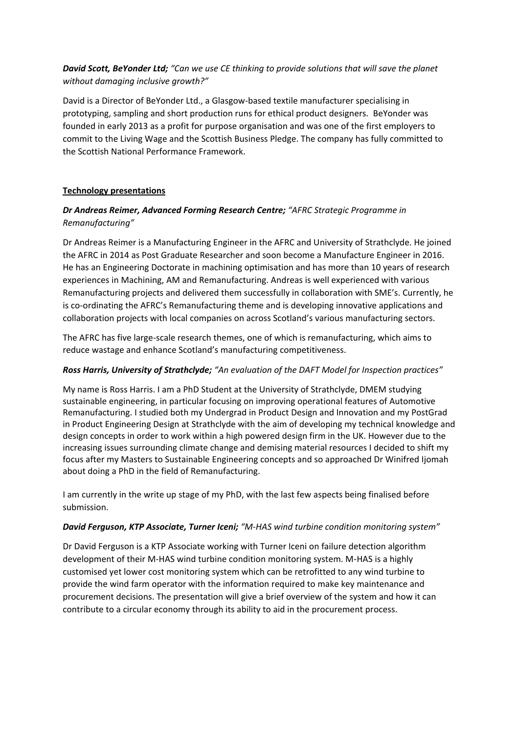*David Scott, BeYonder Ltd; "Can we use CE thinking to provide solutions that will save the planet without damaging inclusive growth?"*

David is a Director of BeYonder Ltd., a Glasgow-based textile manufacturer specialising in prototyping, sampling and short production runs for ethical product designers. BeYonder was founded in early 2013 as a profit for purpose organisation and was one of the first employers to commit to the Living Wage and the Scottish Business Pledge. The company has fully committed to the Scottish National Performance Framework.

#### **Technology presentations**

## *Dr Andreas Reimer, Advanced Forming Research Centre; "AFRC Strategic Programme in Remanufacturing"*

Dr Andreas Reimer is a Manufacturing Engineer in the AFRC and University of Strathclyde. He joined the AFRC in 2014 as Post Graduate Researcher and soon become a Manufacture Engineer in 2016. He has an Engineering Doctorate in machining optimisation and has more than 10 years of research experiences in Machining, AM and Remanufacturing. Andreas is well experienced with various Remanufacturing projects and delivered them successfully in collaboration with SME's. Currently, he is co-ordinating the AFRC's Remanufacturing theme and is developing innovative applications and collaboration projects with local companies on across Scotland's various manufacturing sectors.

The AFRC has five large-scale research themes, one of which is remanufacturing, which aims to reduce wastage and enhance Scotland's manufacturing competitiveness.

#### *Ross Harris, University of Strathclyde; "An evaluation of the DAFT Model for Inspection practices"*

My name is Ross Harris. I am a PhD Student at the University of Strathclyde, DMEM studying sustainable engineering, in particular focusing on improving operational features of Automotive Remanufacturing. I studied both my Undergrad in Product Design and Innovation and my PostGrad in Product Engineering Design at Strathclyde with the aim of developing my technical knowledge and design concepts in order to work within a high powered design firm in the UK. However due to the increasing issues surrounding climate change and demising material resources I decided to shift my focus after my Masters to Sustainable Engineering concepts and so approached Dr Winifred Ijomah about doing a PhD in the field of Remanufacturing.

I am currently in the write up stage of my PhD, with the last few aspects being finalised before submission.

#### *David Ferguson, KTP Associate, Turner Iceni; "M-HAS wind turbine condition monitoring system"*

Dr David Ferguson is a KTP Associate working with Turner Iceni on failure detection algorithm development of their M-HAS wind turbine condition monitoring system. M-HAS is a highly customised yet lower cost monitoring system which can be retrofitted to any wind turbine to provide the wind farm operator with the information required to make key maintenance and procurement decisions. The presentation will give a brief overview of the system and how it can contribute to a circular economy through its ability to aid in the procurement process.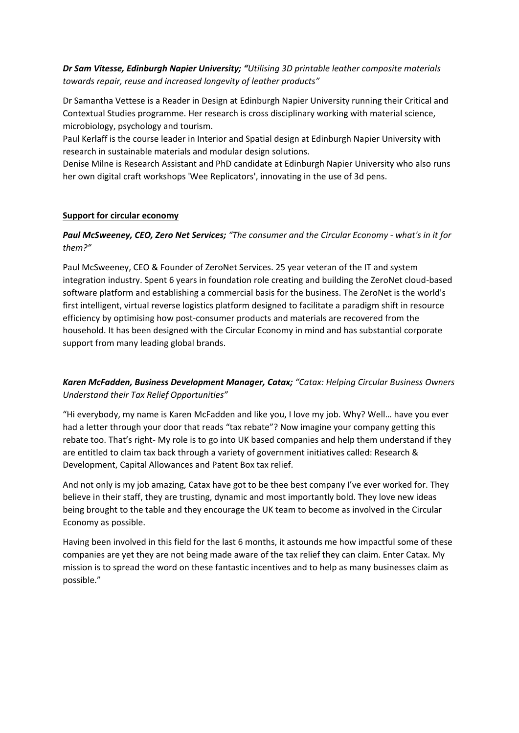## *Dr Sam Vitesse, Edinburgh Napier University; "Utilising 3D printable leather composite materials towards repair, reuse and increased longevity of leather products"*

Dr Samantha Vettese is a Reader in Design at Edinburgh Napier University running their Critical and Contextual Studies programme. Her research is cross disciplinary working with material science, microbiology, psychology and tourism.

Paul Kerlaff is the course leader in Interior and Spatial design at Edinburgh Napier University with research in sustainable materials and modular design solutions.

Denise Milne is Research Assistant and PhD candidate at Edinburgh Napier University who also runs her own digital craft workshops 'Wee Replicators', innovating in the use of 3d pens.

#### **Support for circular economy**

## *Paul McSweeney, CEO, Zero Net Services; "The consumer and the Circular Economy - what's in it for them?"*

Paul McSweeney, CEO & Founder of ZeroNet Services. 25 year veteran of the IT and system integration industry. Spent 6 years in foundation role creating and building the ZeroNet cloud-based software platform and establishing a commercial basis for the business. The ZeroNet is the world's first intelligent, virtual reverse logistics platform designed to facilitate a paradigm shift in resource efficiency by optimising how post-consumer products and materials are recovered from the household. It has been designed with the Circular Economy in mind and has substantial corporate support from many leading global brands.

## *Karen McFadden, Business Development Manager, Catax; "Catax: Helping Circular Business Owners Understand their Tax Relief Opportunities"*

"Hi everybody, my name is Karen McFadden and like you, I love my job. Why? Well… have you ever had a letter through your door that reads "tax rebate"? Now imagine your company getting this rebate too. That's right- My role is to go into UK based companies and help them understand if they are entitled to claim tax back through a variety of government initiatives called: Research & Development, Capital Allowances and Patent Box tax relief.

And not only is my job amazing, Catax have got to be thee best company I've ever worked for. They believe in their staff, they are trusting, dynamic and most importantly bold. They love new ideas being brought to the table and they encourage the UK team to become as involved in the Circular Economy as possible.

Having been involved in this field for the last 6 months, it astounds me how impactful some of these companies are yet they are not being made aware of the tax relief they can claim. Enter Catax. My mission is to spread the word on these fantastic incentives and to help as many businesses claim as possible."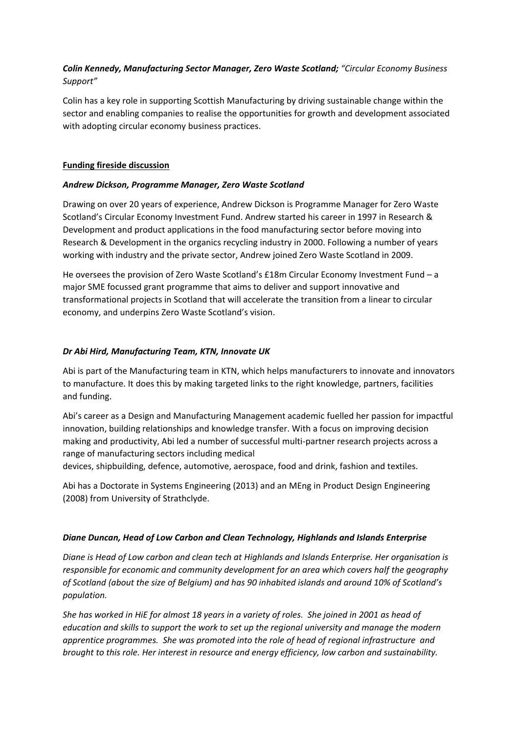# *Colin Kennedy, Manufacturing Sector Manager, Zero Waste Scotland; "Circular Economy Business Support"*

Colin has a key role in supporting Scottish Manufacturing by driving sustainable change within the sector and enabling companies to realise the opportunities for growth and development associated with adopting circular economy business practices.

## **Funding fireside discussion**

## *Andrew Dickson, Programme Manager, Zero Waste Scotland*

Drawing on over 20 years of experience, Andrew Dickson is Programme Manager for Zero Waste Scotland's Circular Economy Investment Fund. Andrew started his career in 1997 in Research & Development and product applications in the food manufacturing sector before moving into Research & Development in the organics recycling industry in 2000. Following a number of years working with industry and the private sector, Andrew joined Zero Waste Scotland in 2009.

He oversees the provision of Zero Waste Scotland's £18m Circular Economy Investment Fund – a major SME focussed grant programme that aims to deliver and support innovative and transformational projects in Scotland that will accelerate the transition from a linear to circular economy, and underpins Zero Waste Scotland's vision.

## *Dr Abi Hird, Manufacturing Team, KTN, Innovate UK*

Abi is part of the Manufacturing team in KTN, which helps manufacturers to innovate and innovators to manufacture. It does this by making targeted links to the right knowledge, partners, facilities and funding.

Abi's career as a Design and Manufacturing Management academic fuelled her passion for impactful innovation, building relationships and knowledge transfer. With a focus on improving decision making and productivity, Abi led a number of successful multi-partner research projects across a range of manufacturing sectors including medical

devices, shipbuilding, defence, automotive, aerospace, food and drink, fashion and textiles.

Abi has a Doctorate in Systems Engineering (2013) and an MEng in Product Design Engineering (2008) from University of Strathclyde.

#### *Diane Duncan, Head of Low Carbon and Clean Technology, Highlands and Islands Enterprise*

*Diane is Head of Low carbon and clean tech at Highlands and Islands Enterprise. Her organisation is responsible for economic and community development for an area which covers half the geography of Scotland (about the size of Belgium) and has 90 inhabited islands and around 10% of Scotland's population.* 

*She has worked in HiE for almost 18 years in a variety of roles. She joined in 2001 as head of education and skills to support the work to set up the regional university and manage the modern apprentice programmes. She was promoted into the role of head of regional infrastructure and brought to this role. Her interest in resource and energy efficiency, low carbon and sustainability.*